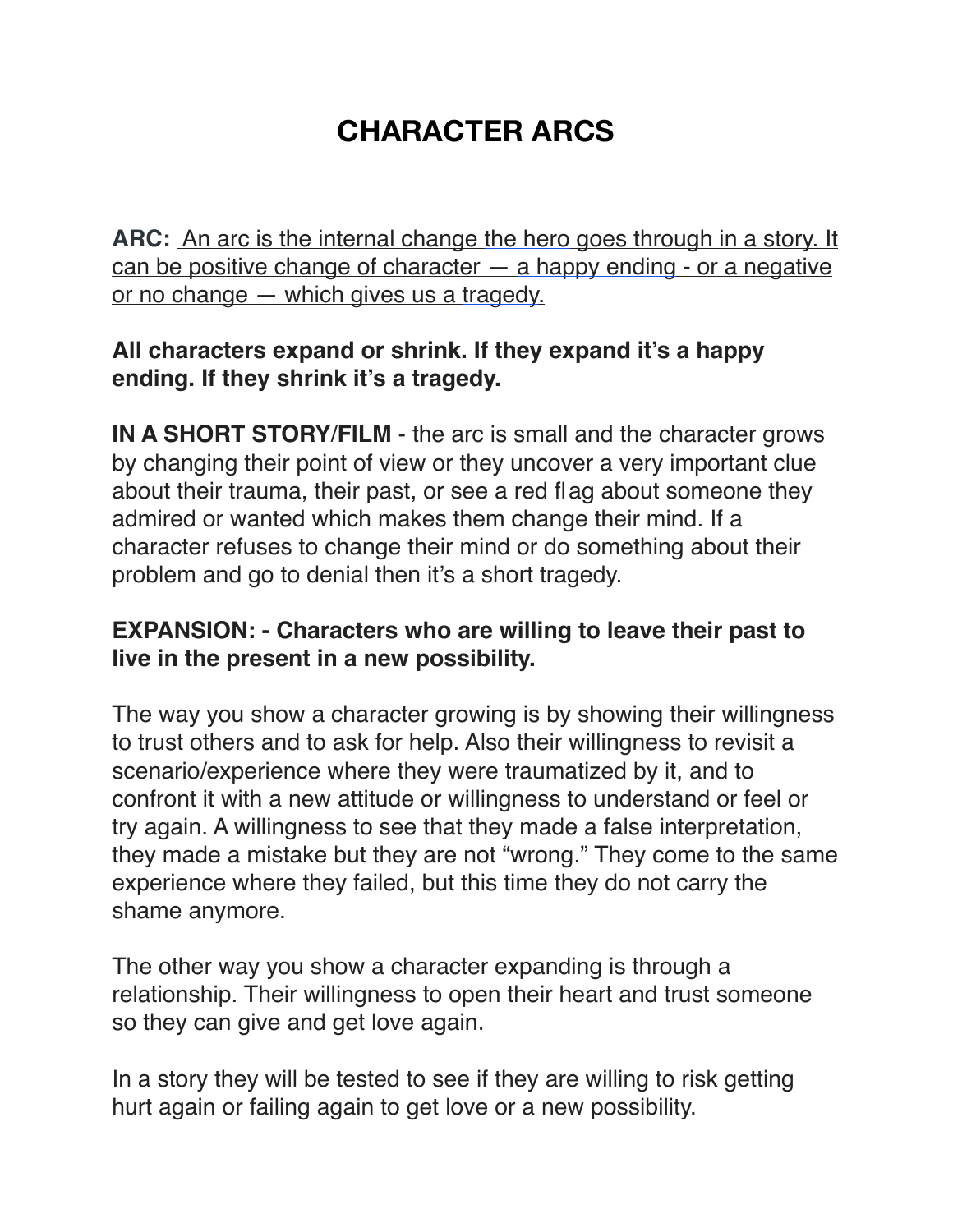## **CHARACTER ARCS**

**ARC:** An arc is the internal change [the hero](https://www.urbandictionary.com/define.php?term=the%20hero) goes through in a story. It can be positive change of character — [a happy ending](https://www.urbandictionary.com/define.php?term=a%20happy%20ending) - or a negative or no change — which gives us a [tragedy.](https://www.urbandictionary.com/define.php?term=tragedy)

## **All characters expand or shrink. If they expand it's a happy ending. If they shrink it's a tragedy.**

**IN A SHORT STORY**/**FILM** - the arc is small and the character grows by changing their point of view or they uncover a very important clue about their trauma, their past, or see a red flag about someone they admired or wanted which makes them change their mind. If a character refuses to change their mind or do something about their problem and go to denial then it's a short tragedy.

## **EXPANSION: - Characters who are willing to leave their past to live in the present in a new possibility.**

The way you show a character growing is by showing their willingness to trust others and to ask for help. Also their willingness to revisit a scenario/experience where they were traumatized by it, and to confront it with a new attitude or willingness to understand or feel or try again. A willingness to see that they made a false interpretation, they made a mistake but they are not "wrong." They come to the same experience where they failed, but this time they do not carry the shame anymore.

The other way you show a character expanding is through a relationship. Their willingness to open their heart and trust someone so they can give and get love again.

In a story they will be tested to see if they are willing to risk getting hurt again or failing again to get love or a new possibility.